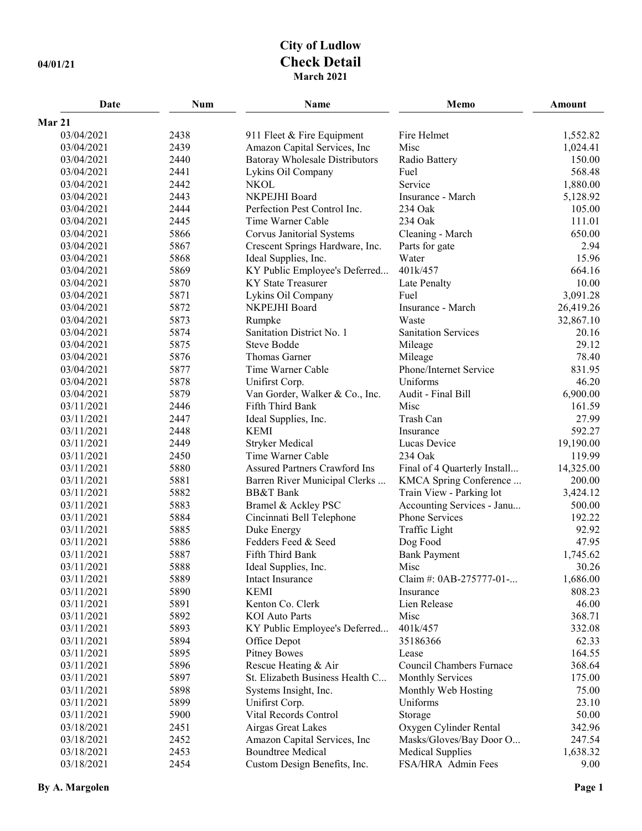## **City of Ludlow 04/01/21 Check Detail March 2021**

| Date       | <b>Num</b> | Name                                  | Memo                         | <b>Amount</b> |
|------------|------------|---------------------------------------|------------------------------|---------------|
| Mar 21     |            |                                       |                              |               |
| 03/04/2021 | 2438       | 911 Fleet & Fire Equipment            | Fire Helmet                  | 1,552.82      |
| 03/04/2021 | 2439       | Amazon Capital Services, Inc          | Misc                         | 1,024.41      |
| 03/04/2021 | 2440       | <b>Batoray Wholesale Distributors</b> | Radio Battery                | 150.00        |
| 03/04/2021 | 2441       | Lykins Oil Company                    | Fuel                         | 568.48        |
| 03/04/2021 | 2442       | <b>NKOL</b>                           | Service                      | 1,880.00      |
| 03/04/2021 | 2443       | NKPEJHI Board                         | Insurance - March            | 5,128.92      |
| 03/04/2021 | 2444       | Perfection Pest Control Inc.          | 234 Oak                      | 105.00        |
| 03/04/2021 | 2445       | Time Warner Cable                     | 234 Oak                      | 111.01        |
| 03/04/2021 | 5866       | Corvus Janitorial Systems             | Cleaning - March             | 650.00        |
| 03/04/2021 | 5867       | Crescent Springs Hardware, Inc.       | Parts for gate               | 2.94          |
| 03/04/2021 | 5868       | Ideal Supplies, Inc.                  | Water                        | 15.96         |
| 03/04/2021 | 5869       | KY Public Employee's Deferred         | 401k/457                     | 664.16        |
| 03/04/2021 | 5870       | <b>KY State Treasurer</b>             | Late Penalty                 | 10.00         |
| 03/04/2021 | 5871       | Lykins Oil Company                    | Fuel                         | 3,091.28      |
| 03/04/2021 | 5872       | NKPEJHI Board                         | Insurance - March            | 26,419.26     |
| 03/04/2021 | 5873       | Rumpke                                | Waste                        | 32,867.10     |
| 03/04/2021 | 5874       | Sanitation District No. 1             | <b>Sanitation Services</b>   | 20.16         |
| 03/04/2021 | 5875       | <b>Steve Bodde</b>                    | Mileage                      | 29.12         |
| 03/04/2021 | 5876       | Thomas Garner                         | Mileage                      | 78.40         |
| 03/04/2021 | 5877       | Time Warner Cable                     | Phone/Internet Service       | 831.95        |
| 03/04/2021 | 5878       | Unifirst Corp.                        | Uniforms                     | 46.20         |
| 03/04/2021 | 5879       | Van Gorder, Walker & Co., Inc.        | Audit - Final Bill           | 6,900.00      |
| 03/11/2021 | 2446       | Fifth Third Bank                      | Misc                         | 161.59        |
| 03/11/2021 | 2447       | Ideal Supplies, Inc.                  | Trash Can                    | 27.99         |
| 03/11/2021 | 2448       | <b>KEMI</b>                           | Insurance                    | 592.27        |
| 03/11/2021 | 2449       | <b>Stryker Medical</b>                | Lucas Device                 | 19,190.00     |
| 03/11/2021 | 2450       | Time Warner Cable                     | 234 Oak                      | 119.99        |
| 03/11/2021 | 5880       | <b>Assured Partners Crawford Ins</b>  | Final of 4 Quarterly Install | 14,325.00     |
| 03/11/2021 | 5881       | Barren River Municipal Clerks         | KMCA Spring Conference       | 200.00        |
| 03/11/2021 | 5882       | <b>BB&amp;T</b> Bank                  | Train View - Parking lot     | 3,424.12      |
| 03/11/2021 | 5883       | Bramel & Ackley PSC                   | Accounting Services - Janu   | 500.00        |
| 03/11/2021 | 5884       | Cincinnati Bell Telephone             | Phone Services               | 192.22        |
| 03/11/2021 | 5885       | Duke Energy                           | Traffic Light                | 92.92         |
| 03/11/2021 | 5886       | Fedders Feed & Seed                   | Dog Food                     | 47.95         |
| 03/11/2021 | 5887       | Fifth Third Bank                      | <b>Bank Payment</b>          | 1,745.62      |
| 03/11/2021 | 5888       | Ideal Supplies, Inc.                  | Misc                         | 30.26         |
| 03/11/2021 | 5889       | Intact Insurance                      | Claim #: 0AB-275777-01-      | 1,686.00      |
| 03/11/2021 | 5890       | <b>KEMI</b>                           | Insurance                    | 808.23        |
| 03/11/2021 | 5891       | Kenton Co. Clerk                      | Lien Release                 | 46.00         |
| 03/11/2021 | 5892       | <b>KOI</b> Auto Parts                 | Misc                         | 368.71        |
| 03/11/2021 | 5893       | KY Public Employee's Deferred         | 401k/457                     | 332.08        |
| 03/11/2021 | 5894       | Office Depot                          | 35186366                     | 62.33         |
| 03/11/2021 | 5895       | <b>Pitney Bowes</b>                   | Lease                        | 164.55        |
| 03/11/2021 | 5896       | Rescue Heating & Air                  | Council Chambers Furnace     | 368.64        |
| 03/11/2021 | 5897       | St. Elizabeth Business Health C       | <b>Monthly Services</b>      | 175.00        |
| 03/11/2021 | 5898       | Systems Insight, Inc.                 | Monthly Web Hosting          | 75.00         |
| 03/11/2021 | 5899       | Unifirst Corp.                        | Uniforms                     | 23.10         |
| 03/11/2021 | 5900       | Vital Records Control                 | Storage                      | 50.00         |
| 03/18/2021 | 2451       | Airgas Great Lakes                    | Oxygen Cylinder Rental       | 342.96        |
| 03/18/2021 | 2452       | Amazon Capital Services, Inc          | Masks/Gloves/Bay Door O      | 247.54        |
| 03/18/2021 | 2453       | <b>Boundtree Medical</b>              | <b>Medical Supplies</b>      | 1,638.32      |
| 03/18/2021 | 2454       | Custom Design Benefits, Inc.          | FSA/HRA Admin Fees           | 9.00          |